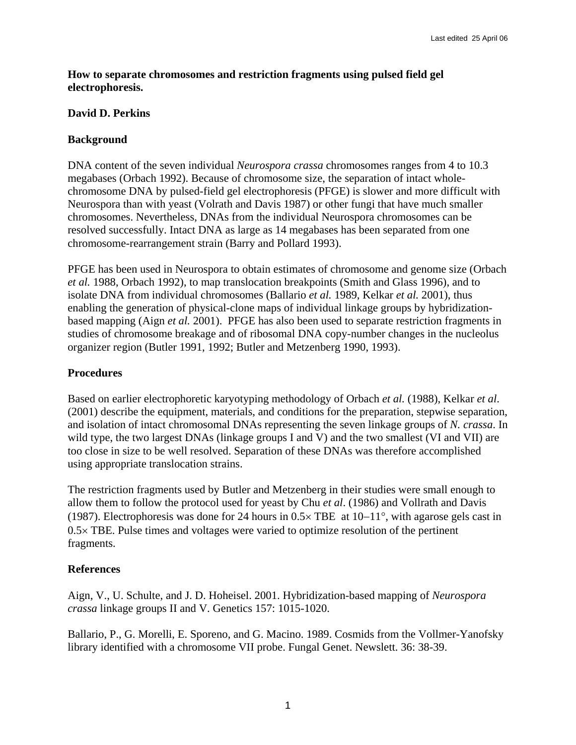**How to separate chromosomes and restriction fragments using pulsed field gel electrophoresis.** 

## **David D. Perkins**

## **Background**

DNA content of the seven individual *Neurospora crassa* chromosomes ranges from 4 to 10.3 megabases (Orbach 1992). Because of chromosome size, the separation of intact wholechromosome DNA by pulsed-field gel electrophoresis (PFGE) is slower and more difficult with Neurospora than with yeast (Volrath and Davis 1987) or other fungi that have much smaller chromosomes. Nevertheless, DNAs from the individual Neurospora chromosomes can be resolved successfully. Intact DNA as large as 14 megabases has been separated from one chromosome-rearrangement strain (Barry and Pollard 1993).

PFGE has been used in Neurospora to obtain estimates of chromosome and genome size (Orbach *et al.* 1988, Orbach 1992), to map translocation breakpoints (Smith and Glass 1996), and to isolate DNA from individual chromosomes (Ballario *et al.* 1989, Kelkar *et al.* 2001), thus enabling the generation of physical-clone maps of individual linkage groups by hybridizationbased mapping (Aign *et al.* 2001). PFGE has also been used to separate restriction fragments in studies of chromosome breakage and of ribosomal DNA copy-number changes in the nucleolus organizer region (Butler 1991, 1992; Butler and Metzenberg 1990, 1993).

## **Procedures**

Based on earlier electrophoretic karyotyping methodology of Orbach *et al.* (1988), Kelkar *et al*. (2001) describe the equipment, materials, and conditions for the preparation, stepwise separation, and isolation of intact chromosomal DNAs representing the seven linkage groups of *N. crassa*. In wild type, the two largest DNAs (linkage groups I and V) and the two smallest (VI and VII) are too close in size to be well resolved. Separation of these DNAs was therefore accomplished using appropriate translocation strains.

The restriction fragments used by Butler and Metzenberg in their studies were small enough to allow them to follow the protocol used for yeast by Chu *et al*. (1986) and Vollrath and Davis (1987). Electrophoresis was done for 24 hours in 0.5× TBE at 10−11°, with agarose gels cast in  $0.5 \times$  TBE. Pulse times and voltages were varied to optimize resolution of the pertinent fragments.

## **References**

Aign, V., U. Schulte, and J. D. Hoheisel. 2001. Hybridization-based mapping of *Neurospora crassa* linkage groups II and V. Genetics 157: 1015-1020.

Ballario, P., G. Morelli, E. Sporeno, and G. Macino. 1989. Cosmids from the Vollmer-Yanofsky library identified with a chromosome VII probe. Fungal Genet. Newslett. 36: 38-39.